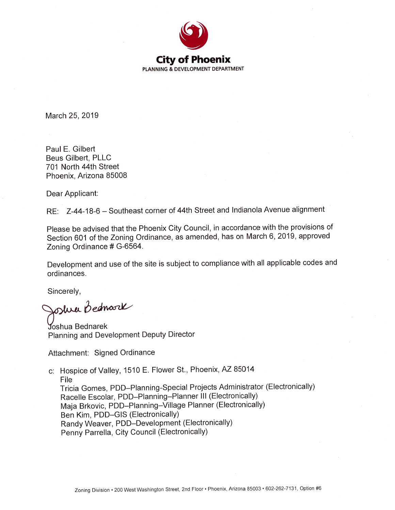

March 25, 2019

Paul E. Gilbert **Beus Gilbert, PLLC** 701 North 44th Street Phoenix, Arizona 85008

Dear Applicant:

RE: Z-44-18-6 - Southeast corner of 44th Street and Indianola Avenue alignment

Please be advised that the Phoenix City Council, in accordance with the provisions of Section 601 of the Zoning Ordinance, as amended, has on March 6, 2019, approved Zoning Ordinance # G-6564.

Development and use of the site is subject to compliance with all applicable codes and ordinances.

Sincerely,

Joshre Bednark

**Joshua Bednarek** Planning and Development Deputy Director

Attachment: Signed Ordinance

c: Hospice of Valley, 1510 E. Flower St., Phoenix, AZ 85014 File Tricia Gomes, PDD-Planning-Special Projects Administrator (Electronically) Racelle Escolar, PDD-Planning-Planner III (Electronically) Maja Brkovic, PDD-Planning-Village Planner (Electronically) Ben Kim, PDD-GIS (Electronically) Randy Weaver, PDD-Development (Electronically) Penny Parrella, City Council (Electronically)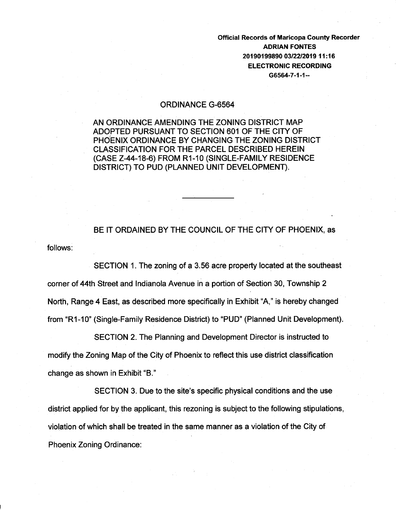Official Records of Maricopa County Recorder ADRIAN FONTES 20190199890 03/22/2019 11 :16 ELECTRONIC RECORDING G6564-7-1-1--

## ORDINANCE G-6564

AN ORDINANCE AMENDING THE ZONING DISTRICT MAP ADOPTED PURSUANT TO SECTION 601 OF THE CITY OF PHOENIX ORDINANCE BY CHANGING THE ZONING DISTRICT CLASSIFICATION FOR THE PARCEL DESCRIBED HEREIN (CASE Z-44-18-6) FROM R1-10 (SINGLE-FAMILY RESIDENCE DISTRICT) TO PUD (PLANNED UNIT DEVELOPMENT).

follows: BE IT ORDAINED BY THE COUNCIL OF THE CITY OF PHOENIX, as

SECTION 1. The zoning of a 3.56 acre property located at the southeast corner of 44th Street and Indianola Avenue in a portion of Section 30, Township 2 North, Range 4 East, as described more specifically in Exhibit "A," is hereby changed from "R1-10" (Single-Family Residence District) to "PUD" (Planned Unit Development).

SECTION 2. The Planning and Development Director is instructed to modify the Zoning Map of the City of Phoenix to reflect this use district classification change as shown in Exhibit "B."

SECTION 3. Due to the site's specific physical conditions and the use district applied for by the applicant, this rezoning is subject to the following stipulations, violation of which shall be treated in the same manner as a violation of the City of Phoenix Zoning Ordinance: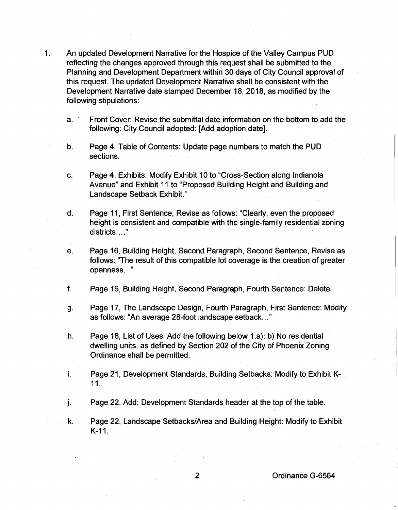- 1. An updated Development Narrative for the Hospice of the Valley Campus PUD reflecting the changes approved through this request shall be submitted to the Planning and Development Department within 30 days of City Council approval of this request. The updated Development Narrative shall be consistent with the Development Narrative date stamped December 18, 2018, as modified by the following stipulations:
	- a. Front Cover: Revise the submittal date information on the bottom to add the following: City Council adopted: [Add adoption date].
	- b. Page 4, Table of Contents: Update page numbers to match the PUD sections.
	- c. Page 4, Exhibits: Modify Exhibit 10 to "Cross-Section along Indianola Avenue" and Exhibit 11 to "Proposed Building Height and Building and Landscape Setback Exhibit."
	- d. Page 11, First Sentence, Revise as follows: "Clearly, even the proposed height is consistent and compatible with the single-family residential zoning districts...."
	- e. Page 16, Building Height, Second Paragraph, Second Sentence, Revise as follows: "The result of this compatible lot coverage is the creation of greater openness ... "
	- f. Page 16, Building Height, Second Paragraph, Fourth Sentence: Delete.
	- g. Page 17, The Landscape Design, Fourth Paragraph, First Sentence: Modify as follows: "An average 28-foot landscape setback ... "
	- h. Page 18, List of Uses: Add the following below 1.a): b) No residential dwelling units, as defined by Section 202 of the City of Phoenix Zoning Ordinance shall be permitted.
	- i. Page 21, Development Standards, Building Setbacks: Modify to Exhibit K- . 11.
	- j. Page 22, Add: Development Standards header at the top of the table.
	- k. Page 22, Landscape Setbacks/Area and Building Height: Modify to Exhibit K-11.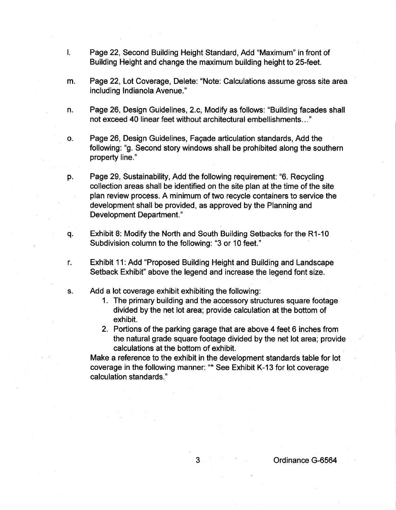- I. Page 22, Second Building Height Standard, Add "Maximum" in front of Building Height and change the maximum building height to 25-feet.
- m. Page 22, Lot Coverage, Delete: "Note: Calculations assume gross site area including Indianola Avenue."
- n. Page 26, Design Guidelines, 2.c, Modify as follows: "Building facades shall not exceed 40 linear feet without architectural embellishments ... "
- o. Page 26, Design Guidelines, Façade articulation standards, Add the following: "g. Second story windows shall be prohibited along the southern property line."
- p. Page 29, Sustainability, Add the following requirement: "6. Recycling collection areas shall be identified on the site plan at the time of the site plan review process. A minimum of two recycle containers to service the development shall be provided, as approved by the Planning and Development Department."
- q. Exhibit 8: Modify the North and South Building Setbacks for the R1-10 Subdivision column to the following: "3 or 10 feet."
- r. Exhibit 11: Add "Proposed Building Height and Building and Landscape Setback Exhibit" above the legend and increase the legend font size.
- s. Add a lot coverage exhibit exhibiting the following:
	- 1. The primary building and the accessory structures square footage divided by the net lot area; provide calculation at the bottom of exhibit.
	- 2. Portions of the parking garage that are above 4 feet 6 inches from the natural grade square footage divided by the net lot area; provide calculations at the bottom of exhibit.

Make a reference to the exhibit in the development standards table for lot coverage in the following manner: "\*See Exhibit K-13 for lot coverage calculation standards."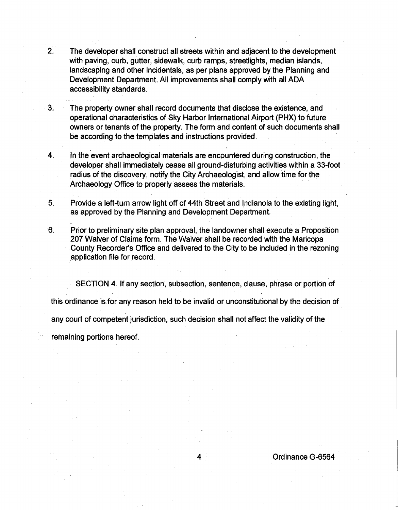2. The developer shall construct all streets within and adjacent to the development with paving, curb, gutter, sidewalk, curb ramps, streetlights, median islands, landscaping and other incidentals, as per plans approved by the Planning and Development Department. All improvements shall comply with all ADA accessibility standards.

3. The property owner shall record documents that disclose the existence, and operational characteristics of Sky Harbor International Airport (PHX) to future owners or tenants of the property. The form and content of such documents shall be according to the templates and instructions provided.

4. In the event archaeological materials are encountered during construction, the developer shall immediately cease all ground-disturbing activities within a 33-foot radius of the discovery, notify the City Archaeologist, and allow time for the . Archaeology Office to properly assess the materials.

- 5. Provide a left-turn arrow light off of 44th Street and Indianola to the existing light, as approved by the Planning and Development Department.
- 6. Prior to preliminary site plan approval, the landowner shall execute a Proposition 207 Waiver of Claims form. The Waiver shall be recorded with the Maricopa . County Recorder's Office and delivered to the City to be included in the rezoning .application file for record.

SECTION 4. If any section, subsection, sentence, clause, phrase or portion of this ordinance is for any reason held to be invalid or unconstitutional by the decision of any court of competent jurisdiction, such decision shall not affect the validity of the remaining portions hereof.

4 Ordinance G-6564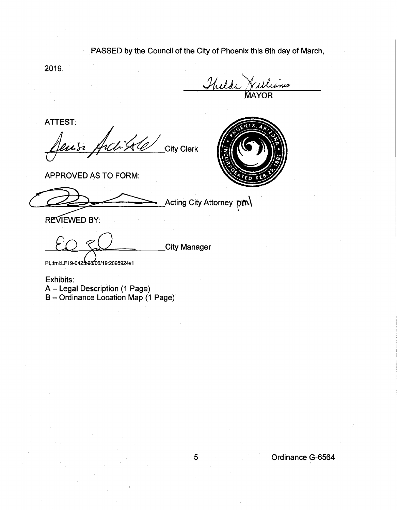PASSED by the Council of the City of Phoenix this 6th day of March,

2019.

ms AYOR

ATTEST:

~~/a-~·CityCierk



APPROVED AS TO FORM:

APPROVED AS TO FORM:<br>
ACting City Attorney pm A<br>REVIEWED BY:

City Manage<mark>r</mark>

PL:tml:LF19-0425-03/06/19:2095924v1

Exhibits: A- Legal Description (1 Page) B- Ordinance Location Map (1 Page)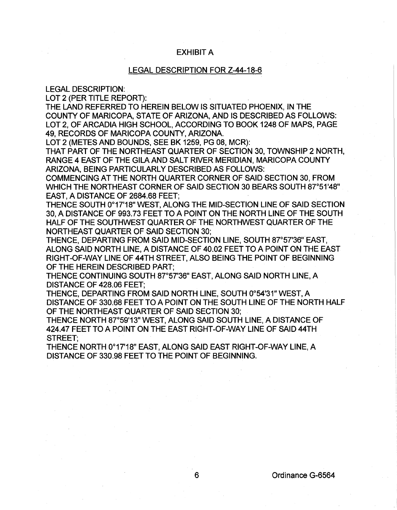## EXHIBIT A

## LEGAL DESCRIPTION FOR Z-44-18-6

LEGAL DESCRIPTION:

LOT 2 (PER TITLE REPORT):

THE LAND REFERRED TO HEREIN BELOW IS SITUATED PHOENIX, IN THE COUNTY OF MARICOPA, STATE OF ARIZONA, AND IS DESCRIBED AS FOLLOWS: LOT 2, OF ARCADIA HIGH SCHOOL, ACCORDING TO BOOK 1248 OF MAPS, PAGE 49, RECORDS OF MARICOPA COUNTY, ARIZONA.

LOT 2 (METES AND BOUNDS, SEE BK 1259, PG 08, MCR):

THAT PART OF THE NORTHEAST QUARTER OF SECTION 30, TOWNSHIP 2 NORTH, RANGE 4 EAST OF THE GILA AND SALT RIVER MERIDIAN, MARICOPA COUNTY ARIZONA, BEING PARTICULARLY DESCRIBED AS FOLLOWS:

COMMENCING AT THE NORTH QUARTER CORNER OF SAID SECTION 30, FROM WHICH THE NORTHEAST CORNER OF SAID SECTION 30 BEARS SOUTH 87°51'48" EAST, A DISTANCE OF 2684.68 FEET;

THENCE SOUTH 0°17'18" WEST, ALONG THE MID-SECTION LINE OF SAID SECTION 30, A DISTANCE OF 993.73 FEET TO A POINT ON THE NORTH LINE OF THE SOUTH HALF OF THE SOUTHWEST QUARTER OF THE NORTHWEST QUARTER OF THE NORTHEAST QUARTER OF SAID SECTION 30;

THENCE, DEPARTING FROM SAID MID-SECTION LINE, SOUTH 87°57'36" EAST, ALONG SAID NORTH LINE, A DISTANCE OF 40.02 FEET TO A POINT ON THE EAST RIGHT-OF-WAY LINE OF 44TH STREET, ALSO BEING THE POINT OF BEGINNING OF THE HEREIN DESCRIBED PART;

THENCE CONTINUING SOUTH 87°57'36" EAST, ALONG SAID NORTH LINE, A DISTANCE OF 428.06 FEET;

THENCE, DEPARTING FROM SAID NORTH LINE, SOUTH 0°54'31" WEST, A DISTANCE OF 330.68 FEET TO A POINT ON THE SOUTH LINE OF THE NORTH HALF OF THE NORTHEAST QUARTER OF SAID SECTION 30;

THENCE NORTH 87°59'13" WEST, ALONG SAID SOUTH LINE, A DISTANCE OF 424.47 FEET TO A POINT ON THE EAST RIGHT-OF-WAY LINE OF SAID 44TH STREET;

THENCE NORTH 0°17'18" EAST, ALONG SAID EAST RIGHT-OF-WAY LINE, A DISTANCE OF 330.98 FEET TO THE POINT OF BEGINNING.